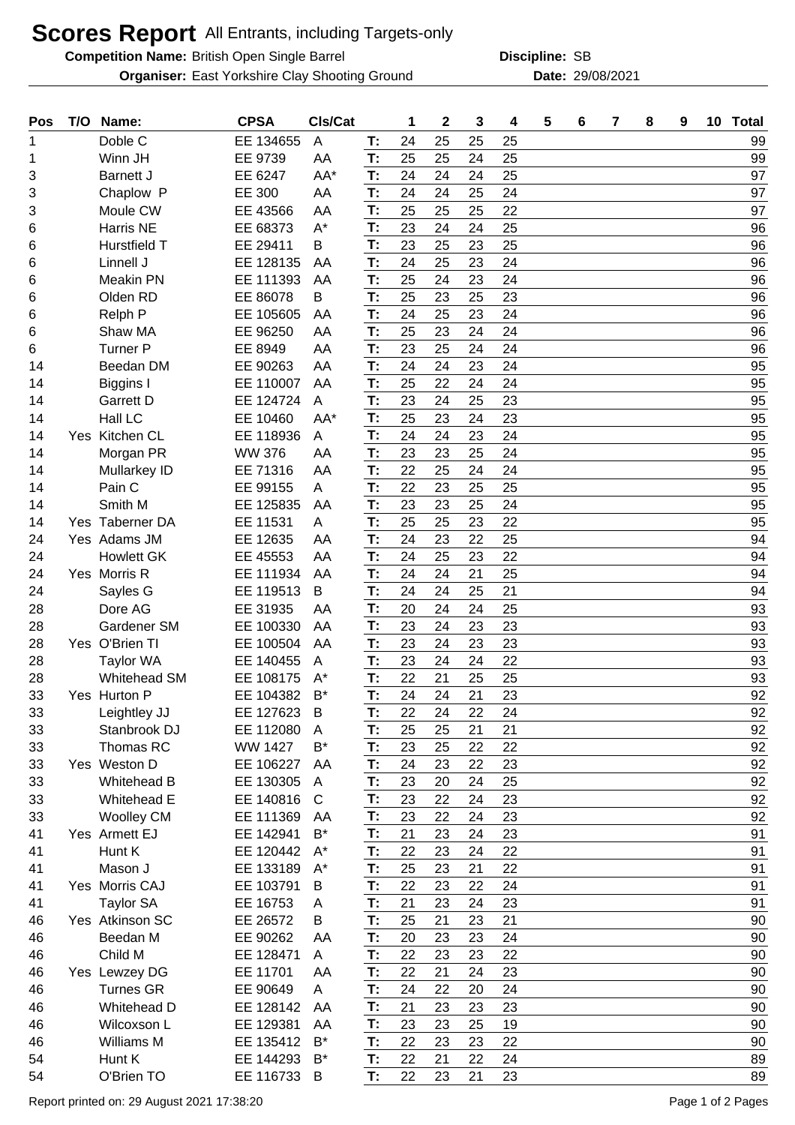## **Scores Report** All Entrants, including Targets-only

**Competition Name:** British Open Single Barrel **SB Competition Compatible CC** SB

**Organiser:** East Yorkshire Clay Shooting Ground **2008/2021** Date: 29/08/2021

**Discipline:**

| Doble C<br>EE 134655<br>A<br>T:<br>24<br>25<br>99<br>25<br>25<br>1<br>25<br>25<br>Winn JH<br>EE 9739<br>AA<br>T:<br>25<br>24<br>99<br>1<br>AA*<br>T:<br>24<br>25<br>EE 6247<br>24<br>24<br>97<br>3<br><b>Barnett J</b><br>24<br>24<br>T:<br>24<br>97<br>Chaplow P<br>EE 300<br>AA<br>25<br>3<br>T:<br>22<br>25<br>25<br>97<br>Moule CW<br>EE 43566<br>AA<br>25<br>3<br>$A^*$<br><b>Harris NE</b><br>EE 68373<br>T:<br>23<br>24<br>25<br>96<br>24<br>6<br>T:<br>23<br>25<br>96<br>Hurstfield T<br>EE 29411<br>25<br>23<br>В<br>6<br>T:<br>24<br>25<br>23<br>24<br>96<br>Linnell J<br>EE 128135<br>6<br>AA<br>25<br>24<br>24<br>96<br><b>Meakin PN</b><br>EE 111393<br>AA<br>T:<br>23<br>6<br>T:<br>25<br>23<br>23<br>96<br>Olden RD<br>EE 86078<br>25<br>В<br>6<br>T:<br>24<br>24<br>Relph P<br>25<br>96<br>EE 105605<br>23<br>AA<br>6<br>T:<br>25<br>24<br>96<br>Shaw MA<br>EE 96250<br>23<br>24<br>AA<br>6<br>23<br>96<br><b>Turner P</b><br>EE 8949<br>AA<br>T:<br>25<br>24<br>6<br>24<br>T:<br>24<br>24<br>23<br>95<br>Beedan DM<br>EE 90263<br>AA<br>24<br>14<br>25<br>T:<br>22<br>24<br>95<br>EE 110007<br>AA<br>24<br>14<br>Biggins I<br>23<br>24<br>23<br>95<br><b>Garrett D</b><br>EE 124724<br>T:<br>25<br>14<br>A<br>T:<br>Hall LC<br>25<br>23<br>23<br>95<br>EE 10460<br>AA*<br>24<br>14<br>24<br>T:<br>24<br>95<br>Kitchen CL<br>EE 118936<br>24<br>23<br>A<br>14<br>Yes<br>T:<br>23<br>24<br>95<br><b>WW 376</b><br>23<br>25<br>Morgan PR<br>AA<br>14<br>T:<br>22<br>25<br>24<br>24<br>95<br>EE 71316<br>AA<br>14<br>Mullarkey ID<br>22<br>23<br>25<br>Pain C<br>EE 99155<br>T:<br>25<br>95<br>14<br>A<br>T:<br>23<br>23<br>25<br>24<br>95<br>Smith M<br>EE 125835<br>14<br>AA<br>95<br>T:<br>25<br>25<br>22<br>Yes Taberner DA<br>EE 11531<br>23<br>14<br>A<br>T:<br>24<br>25<br>94<br>Yes Adams JM<br>EE 12635<br>23<br>24<br>AA<br>22<br>T:<br>24<br>22<br><b>Howlett GK</b><br>EE 45553<br>AA<br>25<br>23<br>94<br>24<br>T:<br>24<br>24<br>21<br>25<br>94<br>Yes Morris R<br>EE 111934<br>AA<br>24<br>T:<br>24<br>24<br>25<br>21<br>24<br>EE 119513<br>B<br>94<br>Sayles G<br>20<br>25<br>28<br>Dore AG<br>EE 31935<br>T:<br>24<br>24<br>93<br>AA<br>T:<br>23<br>23<br>24<br>93<br>Gardener SM<br>EE 100330<br>23<br>28<br>AA<br>Yes O'Brien TI<br>T:<br>23<br>23<br>93<br>EE 100504<br>24<br>23<br>28<br>AA<br>T:<br>23<br>22<br>28<br>EE 140455<br>24<br>24<br>93<br><b>Taylor WA</b><br>A<br>22<br>25<br>93<br>Whitehead SM<br>EE 108175<br>$A^*$<br>T:<br>21<br>25<br>28<br>T:<br>24<br>24<br>21<br>23<br>92<br>$B^*$<br>33<br>Yes Hurton P<br>EE 104382<br>T:<br>22<br>24<br>22<br>24<br>92<br>33<br>EE 127623<br>B<br>Leightley JJ<br>25<br>25<br>21<br>Stanbrook DJ<br>EE 112080<br>T:<br>21<br>92<br>33<br>A<br>T:<br>Thomas RC<br>$B^*$<br>23<br>22<br>92<br>33<br><b>WW 1427</b><br>25<br>22<br>Yes Weston D<br>EE 106227<br>T:<br>24<br>23<br>92<br>33<br>AA<br>23<br>22<br>92<br><b>Whitehead B</b><br>EE 130305<br>T:<br>23<br>20<br>25<br>33<br>A<br>24<br>T:<br>23<br>22<br>23<br>92<br>33<br>Whitehead E<br>EE 140816<br>$\mathsf{C}$<br>24<br>T:<br>23<br>22<br>23<br>92<br><b>Woolley CM</b><br>EE 111369<br>24<br>33<br>AA<br>$B^*$<br>21<br>23<br>Yes Armett EJ<br>EE 142941<br>23<br>91<br>T:<br>24<br>41<br>Hunt K<br>EE 120442<br>22<br>$A^*$<br>T:<br>22<br>23<br>91<br>41<br>24<br>25<br>91<br>Mason J<br>EE 133189<br>T:<br>23<br>22<br>$A^*$<br>21<br>41<br>Yes Morris CAJ<br>EE 103791<br>22<br>23<br>24<br>91<br>T:<br>22<br>41<br>B<br>T:<br>21<br>23<br>23<br><b>Taylor SA</b><br>EE 16753<br>24<br>91<br>41<br>Α<br>25<br>21<br>Yes Atkinson SC<br>EE 26572<br>21<br>23<br>90<br>46<br>B<br>T:<br>T:<br>20<br>Beedan M<br>EE 90262<br>23<br>24<br>90<br>46<br>AA<br>23<br>T:<br>22<br>22<br>Child M<br>EE 128471<br>23<br>90<br>46<br>23<br>A<br>EE 11701<br>22<br>23<br>90<br>46<br>Yes Lewzey DG<br>AA<br>T:<br>21<br>24<br>T:<br><b>Turnes GR</b><br>EE 90649<br>24<br>22<br>24<br>90<br>46<br>20<br>A<br>T:<br>21<br>23<br>Whitehead D<br>EE 128142<br>23<br>23<br>90<br>46<br>AA<br>EE 129381<br>T:<br>23<br>23<br>19<br>90<br>46<br>Wilcoxson L<br>AA<br>25<br>22<br>23<br>22<br>Williams M<br>EE 135412<br>$B^*$<br>T:<br>23<br>90<br>46<br>T:<br>89<br>Hunt K<br>EE 144293<br>$B^*$<br>22<br>21<br>22<br>24<br>54<br>EE 116733<br>O'Brien TO<br>T:<br>22<br>23<br>23<br>89<br>54<br>B<br>21 | Pos | T/O | Name: | <b>CPSA</b> | CIs/Cat | 1 | $\mathbf 2$ | 3 | 4 | 5 | 6 | 7 | 8 | 9 | 10 | <b>Total</b> |
|------------------------------------------------------------------------------------------------------------------------------------------------------------------------------------------------------------------------------------------------------------------------------------------------------------------------------------------------------------------------------------------------------------------------------------------------------------------------------------------------------------------------------------------------------------------------------------------------------------------------------------------------------------------------------------------------------------------------------------------------------------------------------------------------------------------------------------------------------------------------------------------------------------------------------------------------------------------------------------------------------------------------------------------------------------------------------------------------------------------------------------------------------------------------------------------------------------------------------------------------------------------------------------------------------------------------------------------------------------------------------------------------------------------------------------------------------------------------------------------------------------------------------------------------------------------------------------------------------------------------------------------------------------------------------------------------------------------------------------------------------------------------------------------------------------------------------------------------------------------------------------------------------------------------------------------------------------------------------------------------------------------------------------------------------------------------------------------------------------------------------------------------------------------------------------------------------------------------------------------------------------------------------------------------------------------------------------------------------------------------------------------------------------------------------------------------------------------------------------------------------------------------------------------------------------------------------------------------------------------------------------------------------------------------------------------------------------------------------------------------------------------------------------------------------------------------------------------------------------------------------------------------------------------------------------------------------------------------------------------------------------------------------------------------------------------------------------------------------------------------------------------------------------------------------------------------------------------------------------------------------------------------------------------------------------------------------------------------------------------------------------------------------------------------------------------------------------------------------------------------------------------------------------------------------------------------------------------------------------------------------------------------------------------------------------------------------------------------------------------------------------------------------------------------------------------------------------------------------------------------------------------------------------------------------------------------------------------------------------------------------------------------------------------------------------------------------------------------------------------------------------------------------------------------------------------------------------------------------------------------------------------------------------------------------------------------------------------------------|-----|-----|-------|-------------|---------|---|-------------|---|---|---|---|---|---|---|----|--------------|
|                                                                                                                                                                                                                                                                                                                                                                                                                                                                                                                                                                                                                                                                                                                                                                                                                                                                                                                                                                                                                                                                                                                                                                                                                                                                                                                                                                                                                                                                                                                                                                                                                                                                                                                                                                                                                                                                                                                                                                                                                                                                                                                                                                                                                                                                                                                                                                                                                                                                                                                                                                                                                                                                                                                                                                                                                                                                                                                                                                                                                                                                                                                                                                                                                                                                                                                                                                                                                                                                                                                                                                                                                                                                                                                                                                                                                                                                                                                                                                                                                                                                                                                                                                                                                                                                                                                                                      |     |     |       |             |         |   |             |   |   |   |   |   |   |   |    |              |
|                                                                                                                                                                                                                                                                                                                                                                                                                                                                                                                                                                                                                                                                                                                                                                                                                                                                                                                                                                                                                                                                                                                                                                                                                                                                                                                                                                                                                                                                                                                                                                                                                                                                                                                                                                                                                                                                                                                                                                                                                                                                                                                                                                                                                                                                                                                                                                                                                                                                                                                                                                                                                                                                                                                                                                                                                                                                                                                                                                                                                                                                                                                                                                                                                                                                                                                                                                                                                                                                                                                                                                                                                                                                                                                                                                                                                                                                                                                                                                                                                                                                                                                                                                                                                                                                                                                                                      |     |     |       |             |         |   |             |   |   |   |   |   |   |   |    |              |
|                                                                                                                                                                                                                                                                                                                                                                                                                                                                                                                                                                                                                                                                                                                                                                                                                                                                                                                                                                                                                                                                                                                                                                                                                                                                                                                                                                                                                                                                                                                                                                                                                                                                                                                                                                                                                                                                                                                                                                                                                                                                                                                                                                                                                                                                                                                                                                                                                                                                                                                                                                                                                                                                                                                                                                                                                                                                                                                                                                                                                                                                                                                                                                                                                                                                                                                                                                                                                                                                                                                                                                                                                                                                                                                                                                                                                                                                                                                                                                                                                                                                                                                                                                                                                                                                                                                                                      |     |     |       |             |         |   |             |   |   |   |   |   |   |   |    |              |
|                                                                                                                                                                                                                                                                                                                                                                                                                                                                                                                                                                                                                                                                                                                                                                                                                                                                                                                                                                                                                                                                                                                                                                                                                                                                                                                                                                                                                                                                                                                                                                                                                                                                                                                                                                                                                                                                                                                                                                                                                                                                                                                                                                                                                                                                                                                                                                                                                                                                                                                                                                                                                                                                                                                                                                                                                                                                                                                                                                                                                                                                                                                                                                                                                                                                                                                                                                                                                                                                                                                                                                                                                                                                                                                                                                                                                                                                                                                                                                                                                                                                                                                                                                                                                                                                                                                                                      |     |     |       |             |         |   |             |   |   |   |   |   |   |   |    |              |
|                                                                                                                                                                                                                                                                                                                                                                                                                                                                                                                                                                                                                                                                                                                                                                                                                                                                                                                                                                                                                                                                                                                                                                                                                                                                                                                                                                                                                                                                                                                                                                                                                                                                                                                                                                                                                                                                                                                                                                                                                                                                                                                                                                                                                                                                                                                                                                                                                                                                                                                                                                                                                                                                                                                                                                                                                                                                                                                                                                                                                                                                                                                                                                                                                                                                                                                                                                                                                                                                                                                                                                                                                                                                                                                                                                                                                                                                                                                                                                                                                                                                                                                                                                                                                                                                                                                                                      |     |     |       |             |         |   |             |   |   |   |   |   |   |   |    |              |
|                                                                                                                                                                                                                                                                                                                                                                                                                                                                                                                                                                                                                                                                                                                                                                                                                                                                                                                                                                                                                                                                                                                                                                                                                                                                                                                                                                                                                                                                                                                                                                                                                                                                                                                                                                                                                                                                                                                                                                                                                                                                                                                                                                                                                                                                                                                                                                                                                                                                                                                                                                                                                                                                                                                                                                                                                                                                                                                                                                                                                                                                                                                                                                                                                                                                                                                                                                                                                                                                                                                                                                                                                                                                                                                                                                                                                                                                                                                                                                                                                                                                                                                                                                                                                                                                                                                                                      |     |     |       |             |         |   |             |   |   |   |   |   |   |   |    |              |
|                                                                                                                                                                                                                                                                                                                                                                                                                                                                                                                                                                                                                                                                                                                                                                                                                                                                                                                                                                                                                                                                                                                                                                                                                                                                                                                                                                                                                                                                                                                                                                                                                                                                                                                                                                                                                                                                                                                                                                                                                                                                                                                                                                                                                                                                                                                                                                                                                                                                                                                                                                                                                                                                                                                                                                                                                                                                                                                                                                                                                                                                                                                                                                                                                                                                                                                                                                                                                                                                                                                                                                                                                                                                                                                                                                                                                                                                                                                                                                                                                                                                                                                                                                                                                                                                                                                                                      |     |     |       |             |         |   |             |   |   |   |   |   |   |   |    |              |
|                                                                                                                                                                                                                                                                                                                                                                                                                                                                                                                                                                                                                                                                                                                                                                                                                                                                                                                                                                                                                                                                                                                                                                                                                                                                                                                                                                                                                                                                                                                                                                                                                                                                                                                                                                                                                                                                                                                                                                                                                                                                                                                                                                                                                                                                                                                                                                                                                                                                                                                                                                                                                                                                                                                                                                                                                                                                                                                                                                                                                                                                                                                                                                                                                                                                                                                                                                                                                                                                                                                                                                                                                                                                                                                                                                                                                                                                                                                                                                                                                                                                                                                                                                                                                                                                                                                                                      |     |     |       |             |         |   |             |   |   |   |   |   |   |   |    |              |
|                                                                                                                                                                                                                                                                                                                                                                                                                                                                                                                                                                                                                                                                                                                                                                                                                                                                                                                                                                                                                                                                                                                                                                                                                                                                                                                                                                                                                                                                                                                                                                                                                                                                                                                                                                                                                                                                                                                                                                                                                                                                                                                                                                                                                                                                                                                                                                                                                                                                                                                                                                                                                                                                                                                                                                                                                                                                                                                                                                                                                                                                                                                                                                                                                                                                                                                                                                                                                                                                                                                                                                                                                                                                                                                                                                                                                                                                                                                                                                                                                                                                                                                                                                                                                                                                                                                                                      |     |     |       |             |         |   |             |   |   |   |   |   |   |   |    |              |
|                                                                                                                                                                                                                                                                                                                                                                                                                                                                                                                                                                                                                                                                                                                                                                                                                                                                                                                                                                                                                                                                                                                                                                                                                                                                                                                                                                                                                                                                                                                                                                                                                                                                                                                                                                                                                                                                                                                                                                                                                                                                                                                                                                                                                                                                                                                                                                                                                                                                                                                                                                                                                                                                                                                                                                                                                                                                                                                                                                                                                                                                                                                                                                                                                                                                                                                                                                                                                                                                                                                                                                                                                                                                                                                                                                                                                                                                                                                                                                                                                                                                                                                                                                                                                                                                                                                                                      |     |     |       |             |         |   |             |   |   |   |   |   |   |   |    |              |
|                                                                                                                                                                                                                                                                                                                                                                                                                                                                                                                                                                                                                                                                                                                                                                                                                                                                                                                                                                                                                                                                                                                                                                                                                                                                                                                                                                                                                                                                                                                                                                                                                                                                                                                                                                                                                                                                                                                                                                                                                                                                                                                                                                                                                                                                                                                                                                                                                                                                                                                                                                                                                                                                                                                                                                                                                                                                                                                                                                                                                                                                                                                                                                                                                                                                                                                                                                                                                                                                                                                                                                                                                                                                                                                                                                                                                                                                                                                                                                                                                                                                                                                                                                                                                                                                                                                                                      |     |     |       |             |         |   |             |   |   |   |   |   |   |   |    |              |
|                                                                                                                                                                                                                                                                                                                                                                                                                                                                                                                                                                                                                                                                                                                                                                                                                                                                                                                                                                                                                                                                                                                                                                                                                                                                                                                                                                                                                                                                                                                                                                                                                                                                                                                                                                                                                                                                                                                                                                                                                                                                                                                                                                                                                                                                                                                                                                                                                                                                                                                                                                                                                                                                                                                                                                                                                                                                                                                                                                                                                                                                                                                                                                                                                                                                                                                                                                                                                                                                                                                                                                                                                                                                                                                                                                                                                                                                                                                                                                                                                                                                                                                                                                                                                                                                                                                                                      |     |     |       |             |         |   |             |   |   |   |   |   |   |   |    |              |
|                                                                                                                                                                                                                                                                                                                                                                                                                                                                                                                                                                                                                                                                                                                                                                                                                                                                                                                                                                                                                                                                                                                                                                                                                                                                                                                                                                                                                                                                                                                                                                                                                                                                                                                                                                                                                                                                                                                                                                                                                                                                                                                                                                                                                                                                                                                                                                                                                                                                                                                                                                                                                                                                                                                                                                                                                                                                                                                                                                                                                                                                                                                                                                                                                                                                                                                                                                                                                                                                                                                                                                                                                                                                                                                                                                                                                                                                                                                                                                                                                                                                                                                                                                                                                                                                                                                                                      |     |     |       |             |         |   |             |   |   |   |   |   |   |   |    |              |
|                                                                                                                                                                                                                                                                                                                                                                                                                                                                                                                                                                                                                                                                                                                                                                                                                                                                                                                                                                                                                                                                                                                                                                                                                                                                                                                                                                                                                                                                                                                                                                                                                                                                                                                                                                                                                                                                                                                                                                                                                                                                                                                                                                                                                                                                                                                                                                                                                                                                                                                                                                                                                                                                                                                                                                                                                                                                                                                                                                                                                                                                                                                                                                                                                                                                                                                                                                                                                                                                                                                                                                                                                                                                                                                                                                                                                                                                                                                                                                                                                                                                                                                                                                                                                                                                                                                                                      |     |     |       |             |         |   |             |   |   |   |   |   |   |   |    |              |
|                                                                                                                                                                                                                                                                                                                                                                                                                                                                                                                                                                                                                                                                                                                                                                                                                                                                                                                                                                                                                                                                                                                                                                                                                                                                                                                                                                                                                                                                                                                                                                                                                                                                                                                                                                                                                                                                                                                                                                                                                                                                                                                                                                                                                                                                                                                                                                                                                                                                                                                                                                                                                                                                                                                                                                                                                                                                                                                                                                                                                                                                                                                                                                                                                                                                                                                                                                                                                                                                                                                                                                                                                                                                                                                                                                                                                                                                                                                                                                                                                                                                                                                                                                                                                                                                                                                                                      |     |     |       |             |         |   |             |   |   |   |   |   |   |   |    |              |
|                                                                                                                                                                                                                                                                                                                                                                                                                                                                                                                                                                                                                                                                                                                                                                                                                                                                                                                                                                                                                                                                                                                                                                                                                                                                                                                                                                                                                                                                                                                                                                                                                                                                                                                                                                                                                                                                                                                                                                                                                                                                                                                                                                                                                                                                                                                                                                                                                                                                                                                                                                                                                                                                                                                                                                                                                                                                                                                                                                                                                                                                                                                                                                                                                                                                                                                                                                                                                                                                                                                                                                                                                                                                                                                                                                                                                                                                                                                                                                                                                                                                                                                                                                                                                                                                                                                                                      |     |     |       |             |         |   |             |   |   |   |   |   |   |   |    |              |
|                                                                                                                                                                                                                                                                                                                                                                                                                                                                                                                                                                                                                                                                                                                                                                                                                                                                                                                                                                                                                                                                                                                                                                                                                                                                                                                                                                                                                                                                                                                                                                                                                                                                                                                                                                                                                                                                                                                                                                                                                                                                                                                                                                                                                                                                                                                                                                                                                                                                                                                                                                                                                                                                                                                                                                                                                                                                                                                                                                                                                                                                                                                                                                                                                                                                                                                                                                                                                                                                                                                                                                                                                                                                                                                                                                                                                                                                                                                                                                                                                                                                                                                                                                                                                                                                                                                                                      |     |     |       |             |         |   |             |   |   |   |   |   |   |   |    |              |
|                                                                                                                                                                                                                                                                                                                                                                                                                                                                                                                                                                                                                                                                                                                                                                                                                                                                                                                                                                                                                                                                                                                                                                                                                                                                                                                                                                                                                                                                                                                                                                                                                                                                                                                                                                                                                                                                                                                                                                                                                                                                                                                                                                                                                                                                                                                                                                                                                                                                                                                                                                                                                                                                                                                                                                                                                                                                                                                                                                                                                                                                                                                                                                                                                                                                                                                                                                                                                                                                                                                                                                                                                                                                                                                                                                                                                                                                                                                                                                                                                                                                                                                                                                                                                                                                                                                                                      |     |     |       |             |         |   |             |   |   |   |   |   |   |   |    |              |
|                                                                                                                                                                                                                                                                                                                                                                                                                                                                                                                                                                                                                                                                                                                                                                                                                                                                                                                                                                                                                                                                                                                                                                                                                                                                                                                                                                                                                                                                                                                                                                                                                                                                                                                                                                                                                                                                                                                                                                                                                                                                                                                                                                                                                                                                                                                                                                                                                                                                                                                                                                                                                                                                                                                                                                                                                                                                                                                                                                                                                                                                                                                                                                                                                                                                                                                                                                                                                                                                                                                                                                                                                                                                                                                                                                                                                                                                                                                                                                                                                                                                                                                                                                                                                                                                                                                                                      |     |     |       |             |         |   |             |   |   |   |   |   |   |   |    |              |
|                                                                                                                                                                                                                                                                                                                                                                                                                                                                                                                                                                                                                                                                                                                                                                                                                                                                                                                                                                                                                                                                                                                                                                                                                                                                                                                                                                                                                                                                                                                                                                                                                                                                                                                                                                                                                                                                                                                                                                                                                                                                                                                                                                                                                                                                                                                                                                                                                                                                                                                                                                                                                                                                                                                                                                                                                                                                                                                                                                                                                                                                                                                                                                                                                                                                                                                                                                                                                                                                                                                                                                                                                                                                                                                                                                                                                                                                                                                                                                                                                                                                                                                                                                                                                                                                                                                                                      |     |     |       |             |         |   |             |   |   |   |   |   |   |   |    |              |
|                                                                                                                                                                                                                                                                                                                                                                                                                                                                                                                                                                                                                                                                                                                                                                                                                                                                                                                                                                                                                                                                                                                                                                                                                                                                                                                                                                                                                                                                                                                                                                                                                                                                                                                                                                                                                                                                                                                                                                                                                                                                                                                                                                                                                                                                                                                                                                                                                                                                                                                                                                                                                                                                                                                                                                                                                                                                                                                                                                                                                                                                                                                                                                                                                                                                                                                                                                                                                                                                                                                                                                                                                                                                                                                                                                                                                                                                                                                                                                                                                                                                                                                                                                                                                                                                                                                                                      |     |     |       |             |         |   |             |   |   |   |   |   |   |   |    |              |
|                                                                                                                                                                                                                                                                                                                                                                                                                                                                                                                                                                                                                                                                                                                                                                                                                                                                                                                                                                                                                                                                                                                                                                                                                                                                                                                                                                                                                                                                                                                                                                                                                                                                                                                                                                                                                                                                                                                                                                                                                                                                                                                                                                                                                                                                                                                                                                                                                                                                                                                                                                                                                                                                                                                                                                                                                                                                                                                                                                                                                                                                                                                                                                                                                                                                                                                                                                                                                                                                                                                                                                                                                                                                                                                                                                                                                                                                                                                                                                                                                                                                                                                                                                                                                                                                                                                                                      |     |     |       |             |         |   |             |   |   |   |   |   |   |   |    |              |
|                                                                                                                                                                                                                                                                                                                                                                                                                                                                                                                                                                                                                                                                                                                                                                                                                                                                                                                                                                                                                                                                                                                                                                                                                                                                                                                                                                                                                                                                                                                                                                                                                                                                                                                                                                                                                                                                                                                                                                                                                                                                                                                                                                                                                                                                                                                                                                                                                                                                                                                                                                                                                                                                                                                                                                                                                                                                                                                                                                                                                                                                                                                                                                                                                                                                                                                                                                                                                                                                                                                                                                                                                                                                                                                                                                                                                                                                                                                                                                                                                                                                                                                                                                                                                                                                                                                                                      |     |     |       |             |         |   |             |   |   |   |   |   |   |   |    |              |
|                                                                                                                                                                                                                                                                                                                                                                                                                                                                                                                                                                                                                                                                                                                                                                                                                                                                                                                                                                                                                                                                                                                                                                                                                                                                                                                                                                                                                                                                                                                                                                                                                                                                                                                                                                                                                                                                                                                                                                                                                                                                                                                                                                                                                                                                                                                                                                                                                                                                                                                                                                                                                                                                                                                                                                                                                                                                                                                                                                                                                                                                                                                                                                                                                                                                                                                                                                                                                                                                                                                                                                                                                                                                                                                                                                                                                                                                                                                                                                                                                                                                                                                                                                                                                                                                                                                                                      |     |     |       |             |         |   |             |   |   |   |   |   |   |   |    |              |
|                                                                                                                                                                                                                                                                                                                                                                                                                                                                                                                                                                                                                                                                                                                                                                                                                                                                                                                                                                                                                                                                                                                                                                                                                                                                                                                                                                                                                                                                                                                                                                                                                                                                                                                                                                                                                                                                                                                                                                                                                                                                                                                                                                                                                                                                                                                                                                                                                                                                                                                                                                                                                                                                                                                                                                                                                                                                                                                                                                                                                                                                                                                                                                                                                                                                                                                                                                                                                                                                                                                                                                                                                                                                                                                                                                                                                                                                                                                                                                                                                                                                                                                                                                                                                                                                                                                                                      |     |     |       |             |         |   |             |   |   |   |   |   |   |   |    |              |
|                                                                                                                                                                                                                                                                                                                                                                                                                                                                                                                                                                                                                                                                                                                                                                                                                                                                                                                                                                                                                                                                                                                                                                                                                                                                                                                                                                                                                                                                                                                                                                                                                                                                                                                                                                                                                                                                                                                                                                                                                                                                                                                                                                                                                                                                                                                                                                                                                                                                                                                                                                                                                                                                                                                                                                                                                                                                                                                                                                                                                                                                                                                                                                                                                                                                                                                                                                                                                                                                                                                                                                                                                                                                                                                                                                                                                                                                                                                                                                                                                                                                                                                                                                                                                                                                                                                                                      |     |     |       |             |         |   |             |   |   |   |   |   |   |   |    |              |
|                                                                                                                                                                                                                                                                                                                                                                                                                                                                                                                                                                                                                                                                                                                                                                                                                                                                                                                                                                                                                                                                                                                                                                                                                                                                                                                                                                                                                                                                                                                                                                                                                                                                                                                                                                                                                                                                                                                                                                                                                                                                                                                                                                                                                                                                                                                                                                                                                                                                                                                                                                                                                                                                                                                                                                                                                                                                                                                                                                                                                                                                                                                                                                                                                                                                                                                                                                                                                                                                                                                                                                                                                                                                                                                                                                                                                                                                                                                                                                                                                                                                                                                                                                                                                                                                                                                                                      |     |     |       |             |         |   |             |   |   |   |   |   |   |   |    |              |
|                                                                                                                                                                                                                                                                                                                                                                                                                                                                                                                                                                                                                                                                                                                                                                                                                                                                                                                                                                                                                                                                                                                                                                                                                                                                                                                                                                                                                                                                                                                                                                                                                                                                                                                                                                                                                                                                                                                                                                                                                                                                                                                                                                                                                                                                                                                                                                                                                                                                                                                                                                                                                                                                                                                                                                                                                                                                                                                                                                                                                                                                                                                                                                                                                                                                                                                                                                                                                                                                                                                                                                                                                                                                                                                                                                                                                                                                                                                                                                                                                                                                                                                                                                                                                                                                                                                                                      |     |     |       |             |         |   |             |   |   |   |   |   |   |   |    |              |
|                                                                                                                                                                                                                                                                                                                                                                                                                                                                                                                                                                                                                                                                                                                                                                                                                                                                                                                                                                                                                                                                                                                                                                                                                                                                                                                                                                                                                                                                                                                                                                                                                                                                                                                                                                                                                                                                                                                                                                                                                                                                                                                                                                                                                                                                                                                                                                                                                                                                                                                                                                                                                                                                                                                                                                                                                                                                                                                                                                                                                                                                                                                                                                                                                                                                                                                                                                                                                                                                                                                                                                                                                                                                                                                                                                                                                                                                                                                                                                                                                                                                                                                                                                                                                                                                                                                                                      |     |     |       |             |         |   |             |   |   |   |   |   |   |   |    |              |
|                                                                                                                                                                                                                                                                                                                                                                                                                                                                                                                                                                                                                                                                                                                                                                                                                                                                                                                                                                                                                                                                                                                                                                                                                                                                                                                                                                                                                                                                                                                                                                                                                                                                                                                                                                                                                                                                                                                                                                                                                                                                                                                                                                                                                                                                                                                                                                                                                                                                                                                                                                                                                                                                                                                                                                                                                                                                                                                                                                                                                                                                                                                                                                                                                                                                                                                                                                                                                                                                                                                                                                                                                                                                                                                                                                                                                                                                                                                                                                                                                                                                                                                                                                                                                                                                                                                                                      |     |     |       |             |         |   |             |   |   |   |   |   |   |   |    |              |
|                                                                                                                                                                                                                                                                                                                                                                                                                                                                                                                                                                                                                                                                                                                                                                                                                                                                                                                                                                                                                                                                                                                                                                                                                                                                                                                                                                                                                                                                                                                                                                                                                                                                                                                                                                                                                                                                                                                                                                                                                                                                                                                                                                                                                                                                                                                                                                                                                                                                                                                                                                                                                                                                                                                                                                                                                                                                                                                                                                                                                                                                                                                                                                                                                                                                                                                                                                                                                                                                                                                                                                                                                                                                                                                                                                                                                                                                                                                                                                                                                                                                                                                                                                                                                                                                                                                                                      |     |     |       |             |         |   |             |   |   |   |   |   |   |   |    |              |
|                                                                                                                                                                                                                                                                                                                                                                                                                                                                                                                                                                                                                                                                                                                                                                                                                                                                                                                                                                                                                                                                                                                                                                                                                                                                                                                                                                                                                                                                                                                                                                                                                                                                                                                                                                                                                                                                                                                                                                                                                                                                                                                                                                                                                                                                                                                                                                                                                                                                                                                                                                                                                                                                                                                                                                                                                                                                                                                                                                                                                                                                                                                                                                                                                                                                                                                                                                                                                                                                                                                                                                                                                                                                                                                                                                                                                                                                                                                                                                                                                                                                                                                                                                                                                                                                                                                                                      |     |     |       |             |         |   |             |   |   |   |   |   |   |   |    |              |
|                                                                                                                                                                                                                                                                                                                                                                                                                                                                                                                                                                                                                                                                                                                                                                                                                                                                                                                                                                                                                                                                                                                                                                                                                                                                                                                                                                                                                                                                                                                                                                                                                                                                                                                                                                                                                                                                                                                                                                                                                                                                                                                                                                                                                                                                                                                                                                                                                                                                                                                                                                                                                                                                                                                                                                                                                                                                                                                                                                                                                                                                                                                                                                                                                                                                                                                                                                                                                                                                                                                                                                                                                                                                                                                                                                                                                                                                                                                                                                                                                                                                                                                                                                                                                                                                                                                                                      |     |     |       |             |         |   |             |   |   |   |   |   |   |   |    |              |
|                                                                                                                                                                                                                                                                                                                                                                                                                                                                                                                                                                                                                                                                                                                                                                                                                                                                                                                                                                                                                                                                                                                                                                                                                                                                                                                                                                                                                                                                                                                                                                                                                                                                                                                                                                                                                                                                                                                                                                                                                                                                                                                                                                                                                                                                                                                                                                                                                                                                                                                                                                                                                                                                                                                                                                                                                                                                                                                                                                                                                                                                                                                                                                                                                                                                                                                                                                                                                                                                                                                                                                                                                                                                                                                                                                                                                                                                                                                                                                                                                                                                                                                                                                                                                                                                                                                                                      |     |     |       |             |         |   |             |   |   |   |   |   |   |   |    |              |
|                                                                                                                                                                                                                                                                                                                                                                                                                                                                                                                                                                                                                                                                                                                                                                                                                                                                                                                                                                                                                                                                                                                                                                                                                                                                                                                                                                                                                                                                                                                                                                                                                                                                                                                                                                                                                                                                                                                                                                                                                                                                                                                                                                                                                                                                                                                                                                                                                                                                                                                                                                                                                                                                                                                                                                                                                                                                                                                                                                                                                                                                                                                                                                                                                                                                                                                                                                                                                                                                                                                                                                                                                                                                                                                                                                                                                                                                                                                                                                                                                                                                                                                                                                                                                                                                                                                                                      |     |     |       |             |         |   |             |   |   |   |   |   |   |   |    |              |
|                                                                                                                                                                                                                                                                                                                                                                                                                                                                                                                                                                                                                                                                                                                                                                                                                                                                                                                                                                                                                                                                                                                                                                                                                                                                                                                                                                                                                                                                                                                                                                                                                                                                                                                                                                                                                                                                                                                                                                                                                                                                                                                                                                                                                                                                                                                                                                                                                                                                                                                                                                                                                                                                                                                                                                                                                                                                                                                                                                                                                                                                                                                                                                                                                                                                                                                                                                                                                                                                                                                                                                                                                                                                                                                                                                                                                                                                                                                                                                                                                                                                                                                                                                                                                                                                                                                                                      |     |     |       |             |         |   |             |   |   |   |   |   |   |   |    |              |
|                                                                                                                                                                                                                                                                                                                                                                                                                                                                                                                                                                                                                                                                                                                                                                                                                                                                                                                                                                                                                                                                                                                                                                                                                                                                                                                                                                                                                                                                                                                                                                                                                                                                                                                                                                                                                                                                                                                                                                                                                                                                                                                                                                                                                                                                                                                                                                                                                                                                                                                                                                                                                                                                                                                                                                                                                                                                                                                                                                                                                                                                                                                                                                                                                                                                                                                                                                                                                                                                                                                                                                                                                                                                                                                                                                                                                                                                                                                                                                                                                                                                                                                                                                                                                                                                                                                                                      |     |     |       |             |         |   |             |   |   |   |   |   |   |   |    |              |
|                                                                                                                                                                                                                                                                                                                                                                                                                                                                                                                                                                                                                                                                                                                                                                                                                                                                                                                                                                                                                                                                                                                                                                                                                                                                                                                                                                                                                                                                                                                                                                                                                                                                                                                                                                                                                                                                                                                                                                                                                                                                                                                                                                                                                                                                                                                                                                                                                                                                                                                                                                                                                                                                                                                                                                                                                                                                                                                                                                                                                                                                                                                                                                                                                                                                                                                                                                                                                                                                                                                                                                                                                                                                                                                                                                                                                                                                                                                                                                                                                                                                                                                                                                                                                                                                                                                                                      |     |     |       |             |         |   |             |   |   |   |   |   |   |   |    |              |
|                                                                                                                                                                                                                                                                                                                                                                                                                                                                                                                                                                                                                                                                                                                                                                                                                                                                                                                                                                                                                                                                                                                                                                                                                                                                                                                                                                                                                                                                                                                                                                                                                                                                                                                                                                                                                                                                                                                                                                                                                                                                                                                                                                                                                                                                                                                                                                                                                                                                                                                                                                                                                                                                                                                                                                                                                                                                                                                                                                                                                                                                                                                                                                                                                                                                                                                                                                                                                                                                                                                                                                                                                                                                                                                                                                                                                                                                                                                                                                                                                                                                                                                                                                                                                                                                                                                                                      |     |     |       |             |         |   |             |   |   |   |   |   |   |   |    |              |
|                                                                                                                                                                                                                                                                                                                                                                                                                                                                                                                                                                                                                                                                                                                                                                                                                                                                                                                                                                                                                                                                                                                                                                                                                                                                                                                                                                                                                                                                                                                                                                                                                                                                                                                                                                                                                                                                                                                                                                                                                                                                                                                                                                                                                                                                                                                                                                                                                                                                                                                                                                                                                                                                                                                                                                                                                                                                                                                                                                                                                                                                                                                                                                                                                                                                                                                                                                                                                                                                                                                                                                                                                                                                                                                                                                                                                                                                                                                                                                                                                                                                                                                                                                                                                                                                                                                                                      |     |     |       |             |         |   |             |   |   |   |   |   |   |   |    |              |
|                                                                                                                                                                                                                                                                                                                                                                                                                                                                                                                                                                                                                                                                                                                                                                                                                                                                                                                                                                                                                                                                                                                                                                                                                                                                                                                                                                                                                                                                                                                                                                                                                                                                                                                                                                                                                                                                                                                                                                                                                                                                                                                                                                                                                                                                                                                                                                                                                                                                                                                                                                                                                                                                                                                                                                                                                                                                                                                                                                                                                                                                                                                                                                                                                                                                                                                                                                                                                                                                                                                                                                                                                                                                                                                                                                                                                                                                                                                                                                                                                                                                                                                                                                                                                                                                                                                                                      |     |     |       |             |         |   |             |   |   |   |   |   |   |   |    |              |
|                                                                                                                                                                                                                                                                                                                                                                                                                                                                                                                                                                                                                                                                                                                                                                                                                                                                                                                                                                                                                                                                                                                                                                                                                                                                                                                                                                                                                                                                                                                                                                                                                                                                                                                                                                                                                                                                                                                                                                                                                                                                                                                                                                                                                                                                                                                                                                                                                                                                                                                                                                                                                                                                                                                                                                                                                                                                                                                                                                                                                                                                                                                                                                                                                                                                                                                                                                                                                                                                                                                                                                                                                                                                                                                                                                                                                                                                                                                                                                                                                                                                                                                                                                                                                                                                                                                                                      |     |     |       |             |         |   |             |   |   |   |   |   |   |   |    |              |
|                                                                                                                                                                                                                                                                                                                                                                                                                                                                                                                                                                                                                                                                                                                                                                                                                                                                                                                                                                                                                                                                                                                                                                                                                                                                                                                                                                                                                                                                                                                                                                                                                                                                                                                                                                                                                                                                                                                                                                                                                                                                                                                                                                                                                                                                                                                                                                                                                                                                                                                                                                                                                                                                                                                                                                                                                                                                                                                                                                                                                                                                                                                                                                                                                                                                                                                                                                                                                                                                                                                                                                                                                                                                                                                                                                                                                                                                                                                                                                                                                                                                                                                                                                                                                                                                                                                                                      |     |     |       |             |         |   |             |   |   |   |   |   |   |   |    |              |
|                                                                                                                                                                                                                                                                                                                                                                                                                                                                                                                                                                                                                                                                                                                                                                                                                                                                                                                                                                                                                                                                                                                                                                                                                                                                                                                                                                                                                                                                                                                                                                                                                                                                                                                                                                                                                                                                                                                                                                                                                                                                                                                                                                                                                                                                                                                                                                                                                                                                                                                                                                                                                                                                                                                                                                                                                                                                                                                                                                                                                                                                                                                                                                                                                                                                                                                                                                                                                                                                                                                                                                                                                                                                                                                                                                                                                                                                                                                                                                                                                                                                                                                                                                                                                                                                                                                                                      |     |     |       |             |         |   |             |   |   |   |   |   |   |   |    |              |
|                                                                                                                                                                                                                                                                                                                                                                                                                                                                                                                                                                                                                                                                                                                                                                                                                                                                                                                                                                                                                                                                                                                                                                                                                                                                                                                                                                                                                                                                                                                                                                                                                                                                                                                                                                                                                                                                                                                                                                                                                                                                                                                                                                                                                                                                                                                                                                                                                                                                                                                                                                                                                                                                                                                                                                                                                                                                                                                                                                                                                                                                                                                                                                                                                                                                                                                                                                                                                                                                                                                                                                                                                                                                                                                                                                                                                                                                                                                                                                                                                                                                                                                                                                                                                                                                                                                                                      |     |     |       |             |         |   |             |   |   |   |   |   |   |   |    |              |
|                                                                                                                                                                                                                                                                                                                                                                                                                                                                                                                                                                                                                                                                                                                                                                                                                                                                                                                                                                                                                                                                                                                                                                                                                                                                                                                                                                                                                                                                                                                                                                                                                                                                                                                                                                                                                                                                                                                                                                                                                                                                                                                                                                                                                                                                                                                                                                                                                                                                                                                                                                                                                                                                                                                                                                                                                                                                                                                                                                                                                                                                                                                                                                                                                                                                                                                                                                                                                                                                                                                                                                                                                                                                                                                                                                                                                                                                                                                                                                                                                                                                                                                                                                                                                                                                                                                                                      |     |     |       |             |         |   |             |   |   |   |   |   |   |   |    |              |
|                                                                                                                                                                                                                                                                                                                                                                                                                                                                                                                                                                                                                                                                                                                                                                                                                                                                                                                                                                                                                                                                                                                                                                                                                                                                                                                                                                                                                                                                                                                                                                                                                                                                                                                                                                                                                                                                                                                                                                                                                                                                                                                                                                                                                                                                                                                                                                                                                                                                                                                                                                                                                                                                                                                                                                                                                                                                                                                                                                                                                                                                                                                                                                                                                                                                                                                                                                                                                                                                                                                                                                                                                                                                                                                                                                                                                                                                                                                                                                                                                                                                                                                                                                                                                                                                                                                                                      |     |     |       |             |         |   |             |   |   |   |   |   |   |   |    |              |
|                                                                                                                                                                                                                                                                                                                                                                                                                                                                                                                                                                                                                                                                                                                                                                                                                                                                                                                                                                                                                                                                                                                                                                                                                                                                                                                                                                                                                                                                                                                                                                                                                                                                                                                                                                                                                                                                                                                                                                                                                                                                                                                                                                                                                                                                                                                                                                                                                                                                                                                                                                                                                                                                                                                                                                                                                                                                                                                                                                                                                                                                                                                                                                                                                                                                                                                                                                                                                                                                                                                                                                                                                                                                                                                                                                                                                                                                                                                                                                                                                                                                                                                                                                                                                                                                                                                                                      |     |     |       |             |         |   |             |   |   |   |   |   |   |   |    |              |
|                                                                                                                                                                                                                                                                                                                                                                                                                                                                                                                                                                                                                                                                                                                                                                                                                                                                                                                                                                                                                                                                                                                                                                                                                                                                                                                                                                                                                                                                                                                                                                                                                                                                                                                                                                                                                                                                                                                                                                                                                                                                                                                                                                                                                                                                                                                                                                                                                                                                                                                                                                                                                                                                                                                                                                                                                                                                                                                                                                                                                                                                                                                                                                                                                                                                                                                                                                                                                                                                                                                                                                                                                                                                                                                                                                                                                                                                                                                                                                                                                                                                                                                                                                                                                                                                                                                                                      |     |     |       |             |         |   |             |   |   |   |   |   |   |   |    |              |
|                                                                                                                                                                                                                                                                                                                                                                                                                                                                                                                                                                                                                                                                                                                                                                                                                                                                                                                                                                                                                                                                                                                                                                                                                                                                                                                                                                                                                                                                                                                                                                                                                                                                                                                                                                                                                                                                                                                                                                                                                                                                                                                                                                                                                                                                                                                                                                                                                                                                                                                                                                                                                                                                                                                                                                                                                                                                                                                                                                                                                                                                                                                                                                                                                                                                                                                                                                                                                                                                                                                                                                                                                                                                                                                                                                                                                                                                                                                                                                                                                                                                                                                                                                                                                                                                                                                                                      |     |     |       |             |         |   |             |   |   |   |   |   |   |   |    |              |
|                                                                                                                                                                                                                                                                                                                                                                                                                                                                                                                                                                                                                                                                                                                                                                                                                                                                                                                                                                                                                                                                                                                                                                                                                                                                                                                                                                                                                                                                                                                                                                                                                                                                                                                                                                                                                                                                                                                                                                                                                                                                                                                                                                                                                                                                                                                                                                                                                                                                                                                                                                                                                                                                                                                                                                                                                                                                                                                                                                                                                                                                                                                                                                                                                                                                                                                                                                                                                                                                                                                                                                                                                                                                                                                                                                                                                                                                                                                                                                                                                                                                                                                                                                                                                                                                                                                                                      |     |     |       |             |         |   |             |   |   |   |   |   |   |   |    |              |
|                                                                                                                                                                                                                                                                                                                                                                                                                                                                                                                                                                                                                                                                                                                                                                                                                                                                                                                                                                                                                                                                                                                                                                                                                                                                                                                                                                                                                                                                                                                                                                                                                                                                                                                                                                                                                                                                                                                                                                                                                                                                                                                                                                                                                                                                                                                                                                                                                                                                                                                                                                                                                                                                                                                                                                                                                                                                                                                                                                                                                                                                                                                                                                                                                                                                                                                                                                                                                                                                                                                                                                                                                                                                                                                                                                                                                                                                                                                                                                                                                                                                                                                                                                                                                                                                                                                                                      |     |     |       |             |         |   |             |   |   |   |   |   |   |   |    |              |
|                                                                                                                                                                                                                                                                                                                                                                                                                                                                                                                                                                                                                                                                                                                                                                                                                                                                                                                                                                                                                                                                                                                                                                                                                                                                                                                                                                                                                                                                                                                                                                                                                                                                                                                                                                                                                                                                                                                                                                                                                                                                                                                                                                                                                                                                                                                                                                                                                                                                                                                                                                                                                                                                                                                                                                                                                                                                                                                                                                                                                                                                                                                                                                                                                                                                                                                                                                                                                                                                                                                                                                                                                                                                                                                                                                                                                                                                                                                                                                                                                                                                                                                                                                                                                                                                                                                                                      |     |     |       |             |         |   |             |   |   |   |   |   |   |   |    |              |
|                                                                                                                                                                                                                                                                                                                                                                                                                                                                                                                                                                                                                                                                                                                                                                                                                                                                                                                                                                                                                                                                                                                                                                                                                                                                                                                                                                                                                                                                                                                                                                                                                                                                                                                                                                                                                                                                                                                                                                                                                                                                                                                                                                                                                                                                                                                                                                                                                                                                                                                                                                                                                                                                                                                                                                                                                                                                                                                                                                                                                                                                                                                                                                                                                                                                                                                                                                                                                                                                                                                                                                                                                                                                                                                                                                                                                                                                                                                                                                                                                                                                                                                                                                                                                                                                                                                                                      |     |     |       |             |         |   |             |   |   |   |   |   |   |   |    |              |
|                                                                                                                                                                                                                                                                                                                                                                                                                                                                                                                                                                                                                                                                                                                                                                                                                                                                                                                                                                                                                                                                                                                                                                                                                                                                                                                                                                                                                                                                                                                                                                                                                                                                                                                                                                                                                                                                                                                                                                                                                                                                                                                                                                                                                                                                                                                                                                                                                                                                                                                                                                                                                                                                                                                                                                                                                                                                                                                                                                                                                                                                                                                                                                                                                                                                                                                                                                                                                                                                                                                                                                                                                                                                                                                                                                                                                                                                                                                                                                                                                                                                                                                                                                                                                                                                                                                                                      |     |     |       |             |         |   |             |   |   |   |   |   |   |   |    |              |